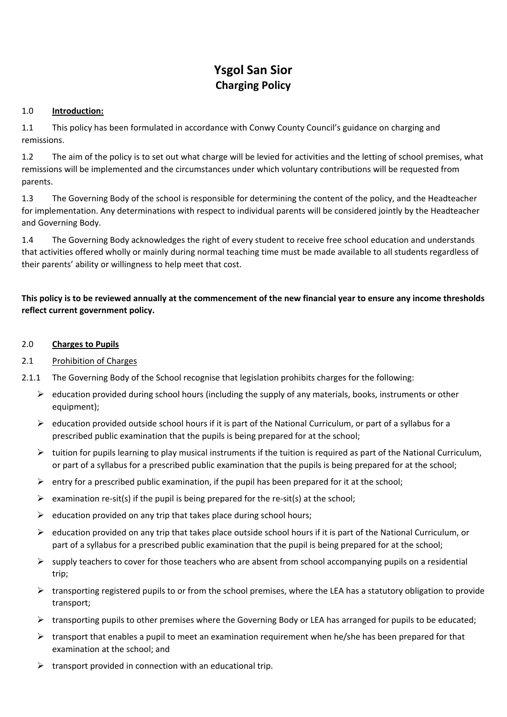# **Ysgol San Sior Charging Policy**

## 1.0 **Introduction:**

1.1 This policy has been formulated in accordance with Conwy County Council's guidance on charging and remissions.

1.2 The aim of the policy is to set out what charge will be levied for activities and the letting of school premises, what remissions will be implemented and the circumstances under which voluntary contributions will be requested from parents.

1.3 The Governing Body of the school is responsible for determining the content of the policy, and the Headteacher for implementation. Any determinations with respect to individual parents will be considered jointly by the Headteacher and Governing Body.

1.4 The Governing Body acknowledges the right of every student to receive free school education and understands that activities offered wholly or mainly during normal teaching time must be made available to all students regardless of their parents' ability or willingness to help meet that cost.

# **This policy is to be reviewed annually at the commencement of the new financial year to ensure any income thresholds reflect current government policy.**

#### 2.0 **Charges to Pupils**

- 2.1 Prohibition of Charges
- 2.1.1 The Governing Body of the School recognise that legislation prohibits charges for the following:
	- $\triangleright$  education provided during school hours (including the supply of any materials, books, instruments or other equipment);
	- $\triangleright$  education provided outside school hours if it is part of the National Curriculum, or part of a syllabus for a prescribed public examination that the pupils is being prepared for at the school;
	- $\triangleright$  tuition for pupils learning to play musical instruments if the tuition is required as part of the National Curriculum, or part of a syllabus for a prescribed public examination that the pupils is being prepared for at the school;
	- $\triangleright$  entry for a prescribed public examination, if the pupil has been prepared for it at the school;
	- $\triangleright$  examination re-sit(s) if the pupil is being prepared for the re-sit(s) at the school;
	- $\triangleright$  education provided on any trip that takes place during school hours;
	- $\triangleright$  education provided on any trip that takes place outside school hours if it is part of the National Curriculum, or part of a syllabus for a prescribed public examination that the pupil is being prepared for at the school;
	- $\triangleright$  supply teachers to cover for those teachers who are absent from school accompanying pupils on a residential trip;
	- $\triangleright$  transporting registered pupils to or from the school premises, where the LEA has a statutory obligation to provide transport;
	- $\triangleright$  transporting pupils to other premises where the Governing Body or LEA has arranged for pupils to be educated;
	- $\triangleright$  transport that enables a pupil to meet an examination requirement when he/she has been prepared for that examination at the school; and
	- $\triangleright$  transport provided in connection with an educational trip.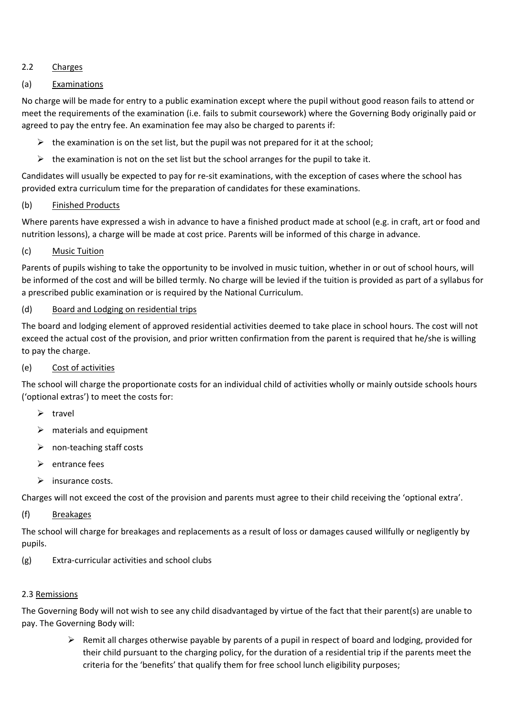# 2.2 Charges

# (a) Examinations

No charge will be made for entry to a public examination except where the pupil without good reason fails to attend or meet the requirements of the examination (i.e. fails to submit coursework) where the Governing Body originally paid or agreed to pay the entry fee. An examination fee may also be charged to parents if:

- $\triangleright$  the examination is on the set list, but the pupil was not prepared for it at the school;
- $\triangleright$  the examination is not on the set list but the school arranges for the pupil to take it.

Candidates will usually be expected to pay for re-sit examinations, with the exception of cases where the school has provided extra curriculum time for the preparation of candidates for these examinations.

## (b) Finished Products

Where parents have expressed a wish in advance to have a finished product made at school (e.g. in craft, art or food and nutrition lessons), a charge will be made at cost price. Parents will be informed of this charge in advance.

#### (c) Music Tuition

Parents of pupils wishing to take the opportunity to be involved in music tuition, whether in or out of school hours, will be informed of the cost and will be billed termly. No charge will be levied if the tuition is provided as part of a syllabus for a prescribed public examination or is required by the National Curriculum.

## (d) Board and Lodging on residential trips

The board and lodging element of approved residential activities deemed to take place in school hours. The cost will not exceed the actual cost of the provision, and prior written confirmation from the parent is required that he/she is willing to pay the charge.

#### (e) Cost of activities

The school will charge the proportionate costs for an individual child of activities wholly or mainly outside schools hours ('optional extras') to meet the costs for:

- $\triangleright$  travel
- $\triangleright$  materials and equipment
- $\triangleright$  non-teaching staff costs
- $\triangleright$  entrance fees
- $\triangleright$  insurance costs.

Charges will not exceed the cost of the provision and parents must agree to their child receiving the 'optional extra'.

#### (f) Breakages

The school will charge for breakages and replacements as a result of loss or damages caused willfully or negligently by pupils.

(g) Extra-curricular activities and school clubs

#### 2.3 Remissions

The Governing Body will not wish to see any child disadvantaged by virtue of the fact that their parent(s) are unable to pay. The Governing Body will:

> $\triangleright$  Remit all charges otherwise payable by parents of a pupil in respect of board and lodging, provided for their child pursuant to the charging policy, for the duration of a residential trip if the parents meet the criteria for the 'benefits' that qualify them for free school lunch eligibility purposes;